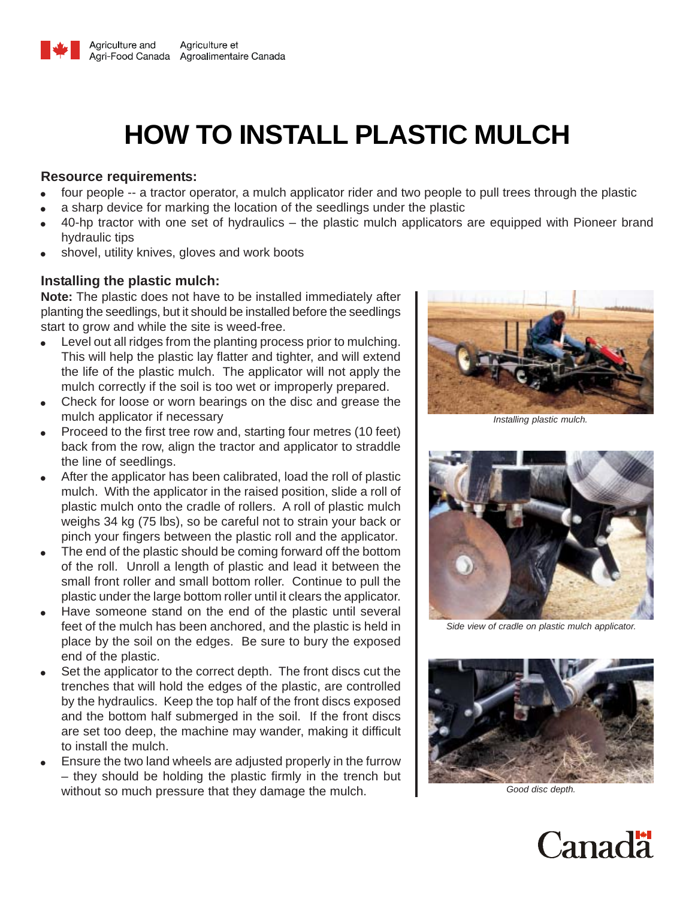

# **HOW TO INSTALL PLASTIC MULCH**

#### **Resource requirements:**

- four people -- a tractor operator, a mulch applicator rider and two people to pull trees through the plastic
- a sharp device for marking the location of the seedlings under the plastic
- 40-hp tractor with one set of hydraulics the plastic mulch applicators are equipped with Pioneer brand hydraulic tips
- shovel, utility knives, gloves and work boots

## **Installing the plastic mulch:**

**Note:** The plastic does not have to be installed immediately after planting the seedlings, but it should be installed before the seedlings start to grow and while the site is weed-free.

- Level out all ridges from the planting process prior to mulching. This will help the plastic lay flatter and tighter, and will extend the life of the plastic mulch. The applicator will not apply the mulch correctly if the soil is too wet or improperly prepared.
- Check for loose or worn bearings on the disc and grease the mulch applicator if necessary
- Proceed to the first tree row and, starting four metres (10 feet) back from the row, align the tractor and applicator to straddle the line of seedlings.
- After the applicator has been calibrated, load the roll of plastic mulch. With the applicator in the raised position, slide a roll of plastic mulch onto the cradle of rollers. A roll of plastic mulch weighs 34 kg (75 lbs), so be careful not to strain your back or pinch your fingers between the plastic roll and the applicator.
- The end of the plastic should be coming forward off the bottom of the roll. Unroll a length of plastic and lead it between the small front roller and small bottom roller. Continue to pull the plastic under the large bottom roller until it clears the applicator.
- Have someone stand on the end of the plastic until several feet of the mulch has been anchored, and the plastic is held in place by the soil on the edges. Be sure to bury the exposed end of the plastic.
- Set the applicator to the correct depth. The front discs cut the trenches that will hold the edges of the plastic, are controlled by the hydraulics. Keep the top half of the front discs exposed and the bottom half submerged in the soil. If the front discs are set too deep, the machine may wander, making it difficult to install the mulch.
- Ensure the two land wheels are adjusted properly in the furrow – they should be holding the plastic firmly in the trench but without so much pressure that they damage the mulch. **Fig. 1** Good disc depth.



*Installing plastic mulch.*



*Side view of cradle on plastic mulch applicator.*